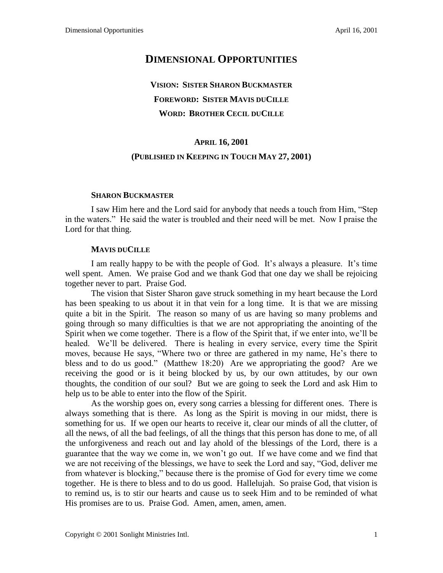## **DIMENSIONAL OPPORTUNITIES**

# **VISION: SISTER SHARON BUCKMASTER FOREWORD: SISTER MAVIS DUCILLE WORD: BROTHER CECIL DUCILLE**

### **APRIL 16, 2001**

### **(PUBLISHED IN KEEPING IN TOUCH MAY 27, 2001)**

#### **SHARON BUCKMASTER**

I saw Him here and the Lord said for anybody that needs a touch from Him, "Step in the waters." He said the water is troubled and their need will be met. Now I praise the Lord for that thing.

#### **MAVIS DUCILLE**

I am really happy to be with the people of God. It's always a pleasure. It's time well spent. Amen. We praise God and we thank God that one day we shall be rejoicing together never to part. Praise God.

The vision that Sister Sharon gave struck something in my heart because the Lord has been speaking to us about it in that vein for a long time. It is that we are missing quite a bit in the Spirit. The reason so many of us are having so many problems and going through so many difficulties is that we are not appropriating the anointing of the Spirit when we come together. There is a flow of the Spirit that, if we enter into, we'll be healed. We'll be delivered. There is healing in every service, every time the Spirit moves, because He says, "Where two or three are gathered in my name, He's there to bless and to do us good." (Matthew 18:20) Are we appropriating the good? Are we receiving the good or is it being blocked by us, by our own attitudes, by our own thoughts, the condition of our soul? But we are going to seek the Lord and ask Him to help us to be able to enter into the flow of the Spirit.

As the worship goes on, every song carries a blessing for different ones. There is always something that is there. As long as the Spirit is moving in our midst, there is something for us. If we open our hearts to receive it, clear our minds of all the clutter, of all the news, of all the bad feelings, of all the things that this person has done to me, of all the unforgiveness and reach out and lay ahold of the blessings of the Lord, there is a guarantee that the way we come in, we won't go out. If we have come and we find that we are not receiving of the blessings, we have to seek the Lord and say, "God, deliver me from whatever is blocking," because there is the promise of God for every time we come together. He is there to bless and to do us good. Hallelujah. So praise God, that vision is to remind us, is to stir our hearts and cause us to seek Him and to be reminded of what His promises are to us. Praise God. Amen, amen, amen, amen.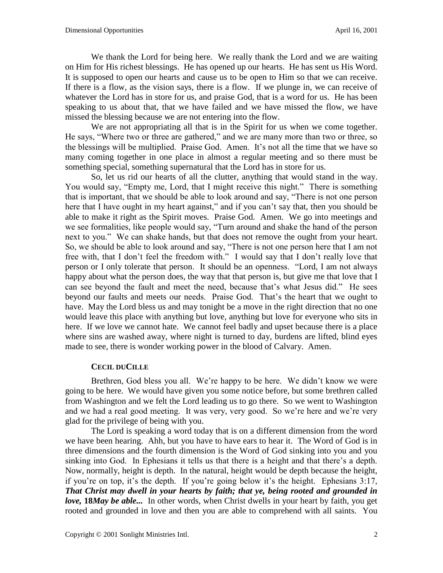We thank the Lord for being here. We really thank the Lord and we are waiting on Him for His richest blessings. He has opened up our hearts. He has sent us His Word. It is supposed to open our hearts and cause us to be open to Him so that we can receive. If there is a flow, as the vision says, there is a flow. If we plunge in, we can receive of whatever the Lord has in store for us, and praise God, that is a word for us. He has been speaking to us about that, that we have failed and we have missed the flow, we have missed the blessing because we are not entering into the flow.

We are not appropriating all that is in the Spirit for us when we come together. He says, "Where two or three are gathered," and we are many more than two or three, so the blessings will be multiplied. Praise God. Amen. It's not all the time that we have so many coming together in one place in almost a regular meeting and so there must be something special, something supernatural that the Lord has in store for us.

So, let us rid our hearts of all the clutter, anything that would stand in the way. You would say, "Empty me, Lord, that I might receive this night." There is something that is important, that we should be able to look around and say, "There is not one person here that I have ought in my heart against," and if you can't say that, then you should be able to make it right as the Spirit moves. Praise God. Amen. We go into meetings and we see formalities, like people would say, "Turn around and shake the hand of the person next to you." We can shake hands, but that does not remove the ought from your heart. So, we should be able to look around and say, "There is not one person here that I am not free with, that I don't feel the freedom with." I would say that I don't really love that person or I only tolerate that person. It should be an openness. "Lord, I am not always happy about what the person does, the way that that person is, but give me that love that I can see beyond the fault and meet the need, because that's what Jesus did." He sees beyond our faults and meets our needs. Praise God. That's the heart that we ought to have. May the Lord bless us and may tonight be a move in the right direction that no one would leave this place with anything but love, anything but love for everyone who sits in here. If we love we cannot hate. We cannot feel badly and upset because there is a place where sins are washed away, where night is turned to day, burdens are lifted, blind eyes made to see, there is wonder working power in the blood of Calvary. Amen.

#### **CECIL DUCILLE**

Brethren, God bless you all. We're happy to be here. We didn't know we were going to be here. We would have given you some notice before, but some brethren called from Washington and we felt the Lord leading us to go there. So we went to Washington and we had a real good meeting. It was very, very good. So we're here and we're very glad for the privilege of being with you.

The Lord is speaking a word today that is on a different dimension from the word we have been hearing. Ahh, but you have to have ears to hear it. The Word of God is in three dimensions and the fourth dimension is the Word of God sinking into you and you sinking into God. In Ephesians it tells us that there is a height and that there's a depth. Now, normally, height is depth. In the natural, height would be depth because the height, if you're on top, it's the depth. If you're going below it's the height. Ephesians 3:17, *That Christ may dwell in your hearts by faith; that ye, being rooted and grounded in love,* **18***May be able...* In other words, when Christ dwells in your heart by faith, you get rooted and grounded in love and then you are able to comprehend with all saints. You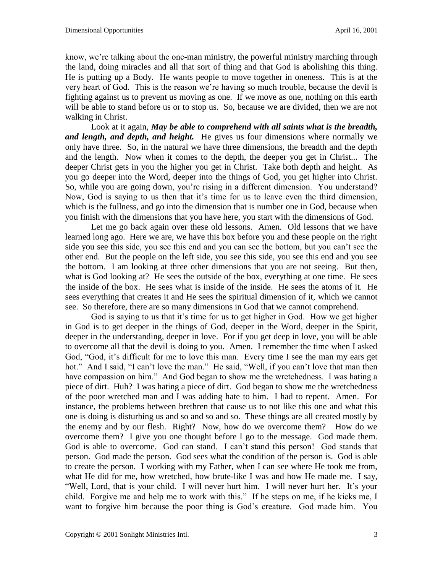know, we're talking about the one-man ministry, the powerful ministry marching through the land, doing miracles and all that sort of thing and that God is abolishing this thing. He is putting up a Body. He wants people to move together in oneness. This is at the very heart of God. This is the reason we're having so much trouble, because the devil is fighting against us to prevent us moving as one. If we move as one, nothing on this earth will be able to stand before us or to stop us. So, because we are divided, then we are not walking in Christ.

Look at it again, *May be able to comprehend with all saints what is the breadth, and length, and depth, and height.* He gives us four dimensions where normally we only have three. So, in the natural we have three dimensions, the breadth and the depth and the length. Now when it comes to the depth, the deeper you get in Christ... The deeper Christ gets in you the higher you get in Christ. Take both depth and height. As you go deeper into the Word, deeper into the things of God, you get higher into Christ. So, while you are going down, you're rising in a different dimension. You understand? Now, God is saying to us then that it's time for us to leave even the third dimension, which is the fullness, and go into the dimension that is number one in God, because when you finish with the dimensions that you have here, you start with the dimensions of God.

Let me go back again over these old lessons. Amen. Old lessons that we have learned long ago. Here we are, we have this box before you and these people on the right side you see this side, you see this end and you can see the bottom, but you can't see the other end. But the people on the left side, you see this side, you see this end and you see the bottom. I am looking at three other dimensions that you are not seeing. But then, what is God looking at? He sees the outside of the box, everything at one time. He sees the inside of the box. He sees what is inside of the inside. He sees the atoms of it. He sees everything that creates it and He sees the spiritual dimension of it, which we cannot see. So therefore, there are so many dimensions in God that we cannot comprehend.

God is saying to us that it's time for us to get higher in God. How we get higher in God is to get deeper in the things of God, deeper in the Word, deeper in the Spirit, deeper in the understanding, deeper in love. For if you get deep in love, you will be able to overcome all that the devil is doing to you. Amen. I remember the time when I asked God, "God, it's difficult for me to love this man. Every time I see the man my ears get hot." And I said, "I can't love the man." He said, "Well, if you can't love that man then have compassion on him." And God began to show me the wretchedness. I was hating a piece of dirt. Huh? I was hating a piece of dirt. God began to show me the wretchedness of the poor wretched man and I was adding hate to him. I had to repent. Amen. For instance, the problems between brethren that cause us to not like this one and what this one is doing is disturbing us and so and so and so. These things are all created mostly by the enemy and by our flesh. Right? Now, how do we overcome them? How do we overcome them? I give you one thought before I go to the message. God made them. God is able to overcome. God can stand. I can't stand this person! God stands that person. God made the person. God sees what the condition of the person is. God is able to create the person. I working with my Father, when I can see where He took me from, what He did for me, how wretched, how brute-like I was and how He made me. I say, "Well, Lord, that is your child. I will never hurt him. I will never hurt her. It's your child. Forgive me and help me to work with this." If he steps on me, if he kicks me, I want to forgive him because the poor thing is God's creature. God made him. You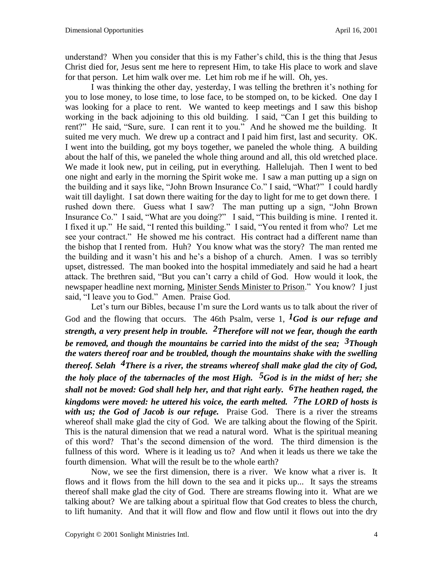understand? When you consider that this is my Father's child, this is the thing that Jesus Christ died for, Jesus sent me here to represent Him, to take His place to work and slave for that person. Let him walk over me. Let him rob me if he will. Oh, yes.

I was thinking the other day, yesterday, I was telling the brethren it's nothing for you to lose money, to lose time, to lose face, to be stomped on, to be kicked. One day I was looking for a place to rent. We wanted to keep meetings and I saw this bishop working in the back adjoining to this old building. I said, "Can I get this building to rent?" He said, "Sure, sure. I can rent it to you." And he showed me the building. It suited me very much. We drew up a contract and I paid him first, last and security. OK. I went into the building, got my boys together, we paneled the whole thing. A building about the half of this, we paneled the whole thing around and all, this old wretched place. We made it look new, put in ceiling, put in everything. Hallelujah. Then I went to bed one night and early in the morning the Spirit woke me. I saw a man putting up a sign on the building and it says like, "John Brown Insurance Co." I said, "What?" I could hardly wait till daylight. I sat down there waiting for the day to light for me to get down there. I rushed down there. Guess what I saw? The man putting up a sign, "John Brown Insurance Co." I said, "What are you doing?" I said, "This building is mine. I rented it. I fixed it up." He said, "I rented this building." I said, "You rented it from who? Let me see your contract." He showed me his contract. His contract had a different name than the bishop that I rented from. Huh? You know what was the story? The man rented me the building and it wasn't his and he's a bishop of a church. Amen. I was so terribly upset, distressed. The man booked into the hospital immediately and said he had a heart attack. The brethren said, "But you can't carry a child of God. How would it look, the newspaper headline next morning, Minister Sends Minister to Prison." You know? I just said, "I leave you to God." Amen. Praise God.

Let's turn our Bibles, because I'm sure the Lord wants us to talk about the river of God and the flowing that occurs. The 46th Psalm, verse 1, *1God is our refuge and strength, a very present help in trouble. 2Therefore will not we fear, though the earth be removed, and though the mountains be carried into the midst of the sea; 3Though the waters thereof roar and be troubled, though the mountains shake with the swelling thereof. Selah 4There is a river, the streams whereof shall make glad the city of God, the holy place of the tabernacles of the most High. 5God is in the midst of her; she shall not be moved: God shall help her, and that right early. 6The heathen raged, the kingdoms were moved: he uttered his voice, the earth melted. 7The LORD of hosts is*  with us; the God of Jacob is our refuge. Praise God. There is a river the streams whereof shall make glad the city of God. We are talking about the flowing of the Spirit. This is the natural dimension that we read a natural word. What is the spiritual meaning of this word? That's the second dimension of the word. The third dimension is the fullness of this word. Where is it leading us to? And when it leads us there we take the fourth dimension. What will the result be to the whole earth?

Now, we see the first dimension, there is a river. We know what a river is. It flows and it flows from the hill down to the sea and it picks up... It says the streams thereof shall make glad the city of God. There are streams flowing into it. What are we talking about? We are talking about a spiritual flow that God creates to bless the church, to lift humanity. And that it will flow and flow and flow until it flows out into the dry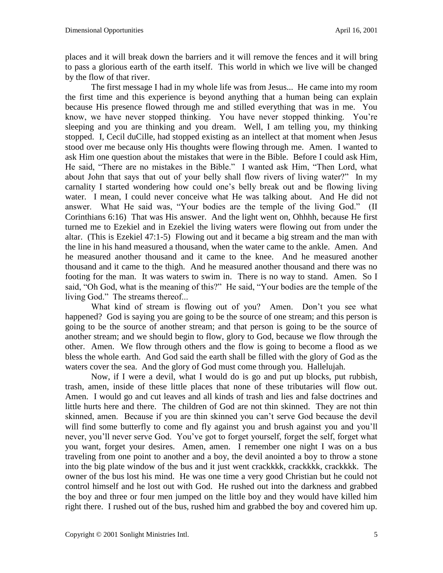places and it will break down the barriers and it will remove the fences and it will bring to pass a glorious earth of the earth itself. This world in which we live will be changed by the flow of that river.

The first message I had in my whole life was from Jesus... He came into my room the first time and this experience is beyond anything that a human being can explain because His presence flowed through me and stilled everything that was in me. You know, we have never stopped thinking. You have never stopped thinking. You're sleeping and you are thinking and you dream. Well, I am telling you, my thinking stopped. I, Cecil duCille, had stopped existing as an intellect at that moment when Jesus stood over me because only His thoughts were flowing through me. Amen. I wanted to ask Him one question about the mistakes that were in the Bible. Before I could ask Him, He said, "There are no mistakes in the Bible." I wanted ask Him, "Then Lord, what about John that says that out of your belly shall flow rivers of living water?" In my carnality I started wondering how could one's belly break out and be flowing living water. I mean, I could never conceive what He was talking about. And He did not answer. What He said was, "Your bodies are the temple of the living God." (II Corinthians 6:16) That was His answer. And the light went on, Ohhhh, because He first turned me to Ezekiel and in Ezekiel the living waters were flowing out from under the altar. (This is Ezekiel 47:1-5) Flowing out and it became a big stream and the man with the line in his hand measured a thousand, when the water came to the ankle. Amen. And he measured another thousand and it came to the knee. And he measured another thousand and it came to the thigh. And he measured another thousand and there was no footing for the man. It was waters to swim in. There is no way to stand. Amen. So I said, "Oh God, what is the meaning of this?" He said, "Your bodies are the temple of the living God." The streams thereof...

What kind of stream is flowing out of you? Amen. Don't you see what happened? God is saying you are going to be the source of one stream; and this person is going to be the source of another stream; and that person is going to be the source of another stream; and we should begin to flow, glory to God, because we flow through the other. Amen. We flow through others and the flow is going to become a flood as we bless the whole earth. And God said the earth shall be filled with the glory of God as the waters cover the sea. And the glory of God must come through you. Hallelujah.

Now, if I were a devil, what I would do is go and put up blocks, put rubbish, trash, amen, inside of these little places that none of these tributaries will flow out. Amen. I would go and cut leaves and all kinds of trash and lies and false doctrines and little hurts here and there. The children of God are not thin skinned. They are not thin skinned, amen. Because if you are thin skinned you can't serve God because the devil will find some butterfly to come and fly against you and brush against you and you'll never, you'll never serve God. You've got to forget yourself, forget the self, forget what you want, forget your desires. Amen, amen. I remember one night I was on a bus traveling from one point to another and a boy, the devil anointed a boy to throw a stone into the big plate window of the bus and it just went crackkkk, crackkkk, crackkkk. The owner of the bus lost his mind. He was one time a very good Christian but he could not control himself and he lost out with God. He rushed out into the darkness and grabbed the boy and three or four men jumped on the little boy and they would have killed him right there. I rushed out of the bus, rushed him and grabbed the boy and covered him up.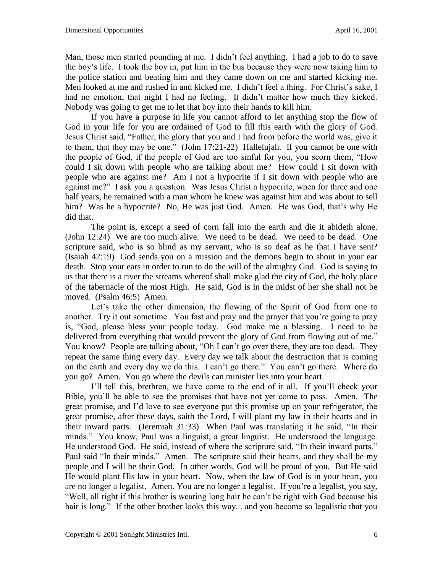Man, those men started pounding at me. I didn't feel anything. I had a job to do to save the boy's life. I took the boy in, put him in the bus because they were now taking him to the police station and beating him and they came down on me and started kicking me. Men looked at me and rushed in and kicked me. I didn't feel a thing. For Christ's sake, I had no emotion, that night I had no feeling. It didn't matter how much they kicked. Nobody was going to get me to let that boy into their hands to kill him.

If you have a purpose in life you cannot afford to let anything stop the flow of God in your life for you are ordained of God to fill this earth with the glory of God. Jesus Christ said, "Father, the glory that you and I had from before the world was, give it to them, that they may be one." (John 17:21-22) Hallelujah. If you cannot be one with the people of God, if the people of God are too sinful for you, you scorn them, "How could I sit down with people who are talking about me? How could I sit down with people who are against me? Am I not a hypocrite if I sit down with people who are against me?" I ask you a question. Was Jesus Christ a hypocrite, when for three and one half years, he remained with a man whom he knew was against him and was about to sell him? Was he a hypocrite? No, He was just God. Amen. He was God, that's why He did that.

The point is, except a seed of corn fall into the earth and die it abideth alone. (John 12:24) We are too much alive. We need to be dead. We need to be dead. One scripture said, who is so blind as my servant, who is so deaf as he that I have sent? (Isaiah 42:19) God sends you on a mission and the demons begin to shout in your ear death. Stop your ears in order to run to do the will of the almighty God. God is saying to us that there is a river the streams whereof shall make glad the city of God, the holy place of the tabernacle of the most High. He said, God is in the midst of her she shall not be moved. (Psalm 46:5) Amen.

Let's take the other dimension, the flowing of the Spirit of God from one to another. Try it out sometime. You fast and pray and the prayer that you're going to pray is, "God, please bless your people today. God make me a blessing. I need to be delivered from everything that would prevent the glory of God from flowing out of me." You know? People are talking about, "Oh I can't go over there, they are too dead. They repeat the same thing every day. Every day we talk about the destruction that is coming on the earth and every day we do this. I can't go there." You can't go there. Where do you go? Amen. You go where the devils can minister lies into your heart.

I'll tell this, brethren, we have come to the end of it all. If you'll check your Bible, you'll be able to see the promises that have not yet come to pass. Amen. The great promise, and I'd love to see everyone put this promise up on your refrigerator, the great promise, after these days, saith the Lord, I will plant my law in their hearts and in their inward parts. (Jeremiah 31:33) When Paul was translating it he said, "In their minds." You know, Paul was a linguist, a great linguist. He understood the language. He understood God. He said, instead of where the scripture said, "In their inward parts," Paul said "In their minds." Amen. The scripture said their hearts, and they shall be my people and I will be their God. In other words, God will be proud of you. But He said He would plant His law in your heart. Now, when the law of God is in your heart, you are no longer a legalist. Amen. You are no longer a legalist. If you're a legalist, you say, "Well, all right if this brother is wearing long hair he can't be right with God because his hair is long." If the other brother looks this way... and you become so legalistic that you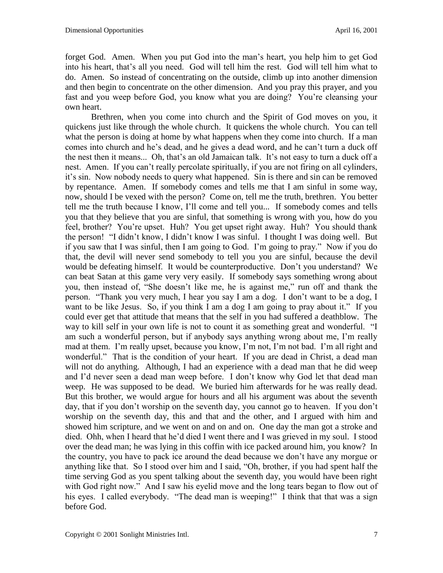forget God. Amen. When you put God into the man's heart, you help him to get God into his heart, that's all you need. God will tell him the rest. God will tell him what to do. Amen. So instead of concentrating on the outside, climb up into another dimension and then begin to concentrate on the other dimension. And you pray this prayer, and you fast and you weep before God, you know what you are doing? You're cleansing your own heart.

Brethren, when you come into church and the Spirit of God moves on you, it quickens just like through the whole church. It quickens the whole church. You can tell what the person is doing at home by what happens when they come into church. If a man comes into church and he's dead, and he gives a dead word, and he can't turn a duck off the nest then it means... Oh, that's an old Jamaican talk. It's not easy to turn a duck off a nest. Amen. If you can't really percolate spiritually, if you are not firing on all cylinders, it's sin. Now nobody needs to query what happened. Sin is there and sin can be removed by repentance. Amen. If somebody comes and tells me that I am sinful in some way, now, should I be vexed with the person? Come on, tell me the truth, brethren. You better tell me the truth because I know, I'll come and tell you... If somebody comes and tells you that they believe that you are sinful, that something is wrong with you, how do you feel, brother? You're upset. Huh? You get upset right away. Huh? You should thank the person! "I didn't know, I didn't know I was sinful. I thought I was doing well. But if you saw that I was sinful, then I am going to God. I'm going to pray." Now if you do that, the devil will never send somebody to tell you you are sinful, because the devil would be defeating himself. It would be counterproductive. Don't you understand? We can beat Satan at this game very very easily. If somebody says something wrong about you, then instead of, "She doesn't like me, he is against me," run off and thank the person. "Thank you very much, I hear you say I am a dog. I don't want to be a dog, I want to be like Jesus. So, if you think I am a dog I am going to pray about it." If you could ever get that attitude that means that the self in you had suffered a deathblow. The way to kill self in your own life is not to count it as something great and wonderful. "I am such a wonderful person, but if anybody says anything wrong about me, I'm really mad at them. I'm really upset, because you know, I'm not, I'm not bad. I'm all right and wonderful." That is the condition of your heart. If you are dead in Christ, a dead man will not do anything. Although, I had an experience with a dead man that he did weep and I'd never seen a dead man weep before. I don't know why God let that dead man weep. He was supposed to be dead. We buried him afterwards for he was really dead. But this brother, we would argue for hours and all his argument was about the seventh day, that if you don't worship on the seventh day, you cannot go to heaven. If you don't worship on the seventh day, this and that and the other, and I argued with him and showed him scripture, and we went on and on and on. One day the man got a stroke and died. Ohh, when I heard that he'd died I went there and I was grieved in my soul. I stood over the dead man; he was lying in this coffin with ice packed around him, you know? In the country, you have to pack ice around the dead because we don't have any morgue or anything like that. So I stood over him and I said, "Oh, brother, if you had spent half the time serving God as you spent talking about the seventh day, you would have been right with God right now." And I saw his eyelid move and the long tears began to flow out of his eyes. I called everybody. "The dead man is weeping!" I think that that was a sign before God.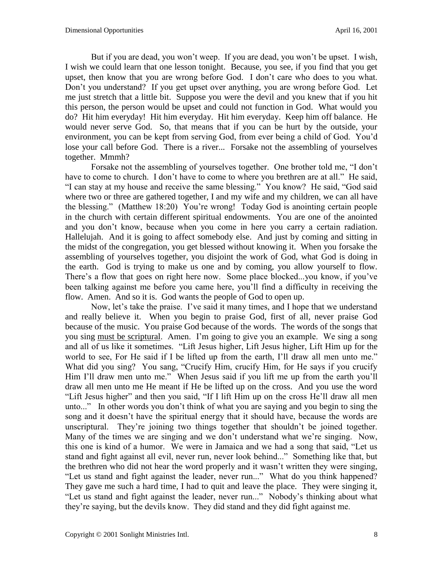But if you are dead, you won't weep. If you are dead, you won't be upset. I wish, I wish we could learn that one lesson tonight. Because, you see, if you find that you get upset, then know that you are wrong before God. I don't care who does to you what. Don't you understand? If you get upset over anything, you are wrong before God. Let me just stretch that a little bit. Suppose you were the devil and you knew that if you hit this person, the person would be upset and could not function in God. What would you do? Hit him everyday! Hit him everyday. Hit him everyday. Keep him off balance. He would never serve God. So, that means that if you can be hurt by the outside, your environment, you can be kept from serving God, from ever being a child of God. You'd lose your call before God. There is a river... Forsake not the assembling of yourselves together. Mmmh?

Forsake not the assembling of yourselves together. One brother told me, "I don't have to come to church. I don't have to come to where you brethren are at all." He said, "I can stay at my house and receive the same blessing." You know? He said, "God said where two or three are gathered together, I and my wife and my children, we can all have the blessing." (Matthew 18:20) You're wrong! Today God is anointing certain people in the church with certain different spiritual endowments. You are one of the anointed and you don't know, because when you come in here you carry a certain radiation. Hallelujah. And it is going to affect somebody else. And just by coming and sitting in the midst of the congregation, you get blessed without knowing it. When you forsake the assembling of yourselves together, you disjoint the work of God, what God is doing in the earth. God is trying to make us one and by coming, you allow yourself to flow. There's a flow that goes on right here now. Some place blocked...you know, if you've been talking against me before you came here, you'll find a difficulty in receiving the flow. Amen. And so it is. God wants the people of God to open up.

Now, let's take the praise. I've said it many times, and I hope that we understand and really believe it. When you begin to praise God, first of all, never praise God because of the music. You praise God because of the words. The words of the songs that you sing must be scriptural. Amen. I'm going to give you an example. We sing a song and all of us like it sometimes. "Lift Jesus higher, Lift Jesus higher, Lift Him up for the world to see, For He said if I be lifted up from the earth, I'll draw all men unto me." What did you sing? You sang, "Crucify Him, crucify Him, for He says if you crucify Him I'll draw men unto me." When Jesus said if you lift me up from the earth you'll draw all men unto me He meant if He be lifted up on the cross. And you use the word "Lift Jesus higher" and then you said, "If I lift Him up on the cross He'll draw all men unto..." In other words you don't think of what you are saying and you begin to sing the song and it doesn't have the spiritual energy that it should have, because the words are unscriptural. They're joining two things together that shouldn't be joined together. Many of the times we are singing and we don't understand what we're singing. Now, this one is kind of a humor. We were in Jamaica and we had a song that said, "Let us stand and fight against all evil, never run, never look behind..." Something like that, but the brethren who did not hear the word properly and it wasn't written they were singing, "Let us stand and fight against the leader, never run..." What do you think happened? They gave me such a hard time, I had to quit and leave the place. They were singing it, "Let us stand and fight against the leader, never run..." Nobody's thinking about what they're saying, but the devils know. They did stand and they did fight against me.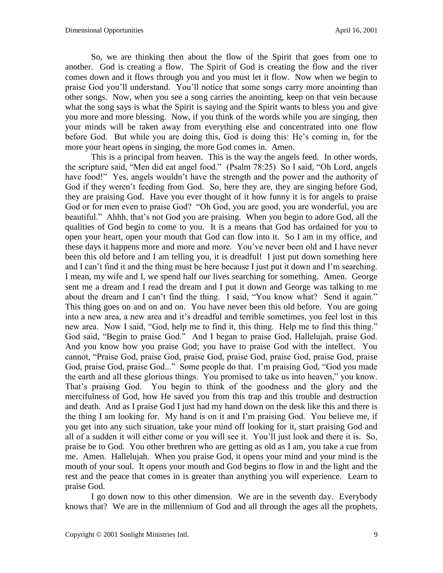So, we are thinking then about the flow of the Spirit that goes from one to another. God is creating a flow. The Spirit of God is creating the flow and the river comes down and it flows through you and you must let it flow. Now when we begin to praise God you'll understand. You'll notice that some songs carry more anointing than other songs. Now, when you see a song carries the anointing, keep on that vein because what the song says is what the Spirit is saying and the Spirit wants to bless you and give you more and more blessing. Now, if you think of the words while you are singing, then your minds will be taken away from everything else and concentrated into one flow before God. But while you are doing this, God is doing this: He's coming in, for the more your heart opens in singing, the more God comes in. Amen.

This is a principal from heaven. This is the way the angels feed. In other words, the scripture said, "Men did eat angel food." (Psalm 78:25) So I said, "Oh Lord, angels have food!" Yes, angels wouldn't have the strength and the power and the authority of God if they weren't feeding from God. So, here they are, they are singing before God, they are praising God. Have you ever thought of it how funny it is for angels to praise God or for men even to praise God? "Oh God, you are good, you are wonderful, you are beautiful." Ahhh, that's not God you are praising. When you begin to adore God, all the qualities of God begin to come to you. It is a means that God has ordained for you to open your heart, open your mouth that God can flow into it. So I am in my office, and these days it happens more and more and more. You've never been old and I have never been this old before and I am telling you, it is dreadful! I just put down something here and I can't find it and the thing must be here because I just put it down and I'm searching. I mean, my wife and I, we spend half our lives searching for something. Amen. George sent me a dream and I read the dream and I put it down and George was talking to me about the dream and I can't find the thing. I said, "You know what? Send it again." This thing goes on and on and on. You have never been this old before. You are going into a new area, a new area and it's dreadful and terrible sometimes, you feel lost in this new area. Now I said, "God, help me to find it, this thing. Help me to find this thing." God said, "Begin to praise God." And I began to praise God, Hallelujah, praise God. And you know how you praise God; you have to praise God with the intellect. You cannot, "Praise God, praise God, praise God, praise God, praise God, praise God, praise God, praise God, praise God..." Some people do that. I'm praising God, "God you made the earth and all these glorious things. You promised to take us into heaven," you know. That's praising God. You begin to think of the goodness and the glory and the mercifulness of God, how He saved you from this trap and this trouble and destruction and death. And as I praise God I just had my hand down on the desk like this and there is the thing I am looking for. My hand is on it and I'm praising God. You believe me, if you get into any such situation, take your mind off looking for it, start praising God and all of a sudden it will either come or you will see it. You'll just look and there it is. So, praise be to God. You other brethren who are getting as old as I am, you take a cue from me. Amen. Hallelujah. When you praise God, it opens your mind and your mind is the mouth of your soul. It opens your mouth and God begins to flow in and the light and the rest and the peace that comes in is greater than anything you will experience. Learn to praise God.

I go down now to this other dimension. We are in the seventh day. Everybody knows that? We are in the millennium of God and all through the ages all the prophets,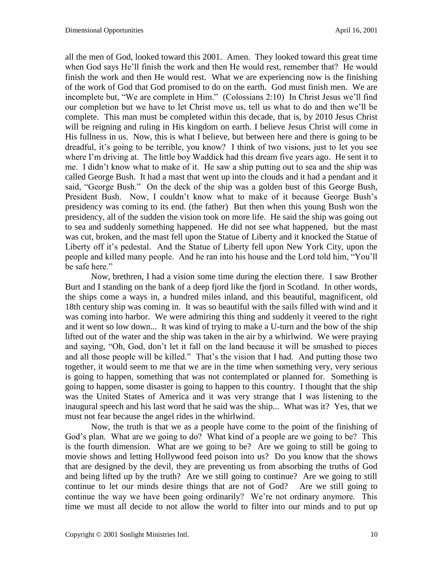all the men of God, looked toward this 2001. Amen. They looked toward this great time when God says He'll finish the work and then He would rest, remember that? He would finish the work and then He would rest. What we are experiencing now is the finishing of the work of God that God promised to do on the earth. God must finish men. We are incomplete but, "We are complete in Him." (Colossians 2:10) In Christ Jesus we'll find our completion but we have to let Christ move us, tell us what to do and then we'll be complete. This man must be completed within this decade, that is, by 2010 Jesus Christ will be reigning and ruling in His kingdom on earth. I believe Jesus Christ will come in His fullness in us. Now, this is what I believe, but between here and there is going to be dreadful, it's going to be terrible, you know? I think of two visions, just to let you see where I'm driving at. The little boy Waddick had this dream five years ago. He sent it to me. I didn't know what to make of it. He saw a ship putting out to sea and the ship was called George Bush. It had a mast that went up into the clouds and it had a pendant and it said, "George Bush." On the deck of the ship was a golden bust of this George Bush, President Bush. Now, I couldn't know what to make of it because George Bush's presidency was coming to its end. (the father) But then when this young Bush won the presidency, all of the sudden the vision took on more life. He said the ship was going out to sea and suddenly something happened. He did not see what happened, but the mast was cut, broken, and the mast fell upon the Statue of Liberty and it knocked the Statue of Liberty off it's pedestal. And the Statue of Liberty fell upon New York City, upon the people and killed many people. And he ran into his house and the Lord told him, "You'll be safe here."

Now, brethren, I had a vision some time during the election there. I saw Brother Burt and I standing on the bank of a deep fjord like the fjord in Scotland. In other words, the ships come a ways in, a hundred miles inland, and this beautiful, magnificent, old 18th century ship was coming in. It was so beautiful with the sails filled with wind and it was coming into harbor. We were admiring this thing and suddenly it veered to the right and it went so low down... It was kind of trying to make a U-turn and the bow of the ship lifted out of the water and the ship was taken in the air by a whirlwind. We were praying and saying, "Oh, God, don't let it fall on the land because it will be smashed to pieces and all those people will be killed." That's the vision that I had. And putting those two together, it would seem to me that we are in the time when something very, very serious is going to happen, something that was not contemplated or planned for. Something is going to happen, some disaster is going to happen to this country. I thought that the ship was the United States of America and it was very strange that I was listening to the inaugural speech and his last word that he said was the ship... What was it? Yes, that we must not fear because the angel rides in the whirlwind.

Now, the truth is that we as a people have come to the point of the finishing of God's plan. What are we going to do? What kind of a people are we going to be? This is the fourth dimension. What are we going to be? Are we going to still be going to movie shows and letting Hollywood feed poison into us? Do you know that the shows that are designed by the devil, they are preventing us from absorbing the truths of God and being lifted up by the truth? Are we still going to continue? Are we going to still continue to let our minds desire things that are not of God? Are we still going to continue the way we have been going ordinarily? We're not ordinary anymore. This time we must all decide to not allow the world to filter into our minds and to put up